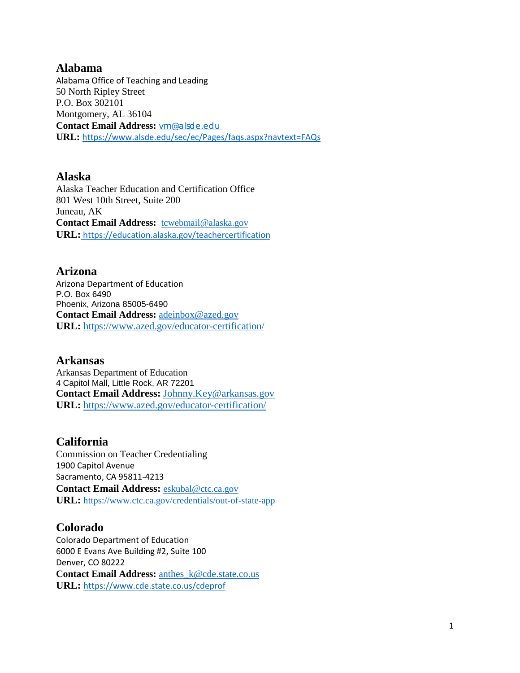#### **Alabama**

Alabama Office of Teaching and Leading 50 North Ripley Street P.O. Box 302101 Montgomery, AL 36104 **Contact Email Address:** [vm@alsde.edu](mailto:vm@alsde.edu) **URL:** <https://www.alsde.edu/sec/ec/Pages/faqs.aspx?navtext=FAQs>

#### **Alaska**

Alaska Teacher Education and Certification Office 801 West 10th Street, Suite 200 Juneau, AK Contact Email Address: [tcwebmail@alaska.gov](mailto:tcwebmail@alaska.gov) **URL:** <https://education.alaska.gov/teachercertification>

#### **Arizona**

Arizona Department of Education P.O. Box 6490 Phoenix, Arizona 85005-6490 **Contact Email Address:** [adeinbox@azed.gov](mailto:adeinbox@azed.gov) **URL:** <https://www.azed.gov/educator-certification/>

#### **Arkansas**

Arkansas Department of Education 4 Capitol Mall, Little Rock, AR 72201 **Contact Email Address:** [Johnny.Key@arkansas.gov](mailto:Johnny.Key@arkansas.gov) **URL:** <https://www.azed.gov/educator-certification/>

#### **California**

Commission on Teacher Credentialing 1900 Capitol Avenue Sacramento, CA 95811-4213 **Contact Email Address:** [eskubal@ctc.ca.gov](mailto:eskubal@ctc.ca.gov) **URL:** <https://www.ctc.ca.gov/credentials/out-of-state-app>

#### **Colorado**

Colorado Department of Education 6000 E Evans Ave Building #2, Suite 100 Denver, CO 80222 **Contact Email Address:** [anthes\\_k@cde.state.co.us](mailto:anthes_k@cde.state.co.us) **URL:** <https://www.cde.state.co.us/cdeprof>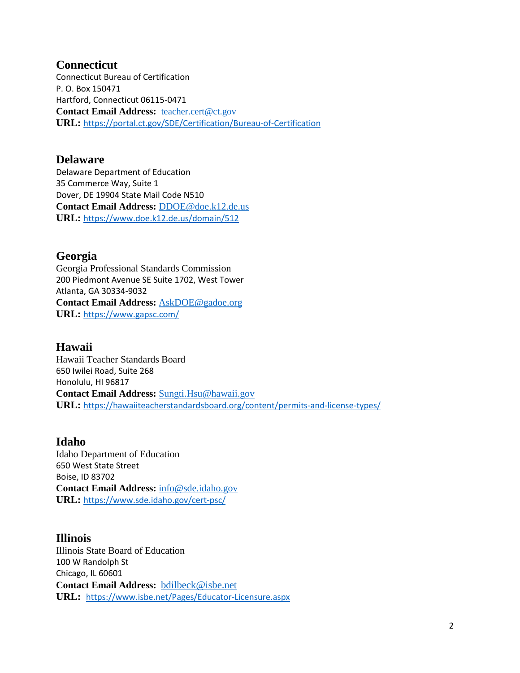#### **Connecticut**

Connecticut Bureau of Certification P. O. Box 150471 Hartford, Connecticut 06115-0471 **Contact Email Address:** [teacher.cert@ct.gov](mailto:teacher.cert@ct.gov) **URL:** <https://portal.ct.gov/SDE/Certification/Bureau-of-Certification>

#### **Delaware**

Delaware Department of Education 35 Commerce Way, Suite 1 Dover, DE 19904 State Mail Code N510 **Contact Email Address:** [DDOE@doe.k12.de.us](mailto:DDOE@doe.k12.de.us) **URL:** <https://www.doe.k12.de.us/domain/512>

#### **Georgia**

Georgia Professional Standards Commission 200 Piedmont Avenue SE Suite 1702, West Tower Atlanta, GA 30334-9032 **Contact Email Address:** [AskDOE@gadoe.org](mailto:AskDOE@gadoe.org) **URL:** <https://www.gapsc.com/>

### **Hawaii**

Hawaii Teacher Standards Board 650 Iwilei Road, Suite 268 Honolulu, HI 96817 **Contact Email Address:** [Sungti.Hsu@hawaii.gov](mailto:Sungti.Hsu@hawaii.gov) **URL:** <https://hawaiiteacherstandardsboard.org/content/permits-and-license-types/>

#### **Idaho**

Idaho Department of Education 650 West State Street Boise, ID 83702 **Contact Email Address:** [info@sde.idaho.gov](mailto:info@sde.idaho.gov) **URL:** <https://www.sde.idaho.gov/cert-psc/>

### **Illinois**

Illinois State Board of Education 100 W Randolph St Chicago, IL 60601 **Contact Email Address:** [bdilbeck@isbe.net](mailto:bdilbeck@isbe.net) **URL:** <https://www.isbe.net/Pages/Educator-Licensure.aspx>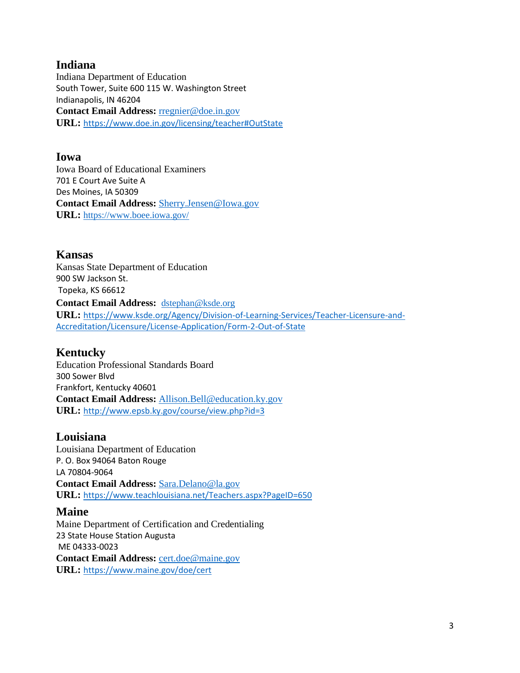## **Indiana**

Indiana Department of Education South Tower, Suite 600 115 W. Washington Street Indianapolis, IN 46204 **Contact Email Address:** [rregnier@doe.in.gov](mailto:rregnier@doe.in.gov) **URL:** [https://www.doe.in.gov/licensing/teacher#OutState](https://urldefense.com/v3/__https:/www.doe.in.gov/licensing/teacher*OutState__;Iw!!IkmNjII!QSjIz-McBSHqc6PM_1WlyYI174G3gOdKersZQRlQ9Ll7NMRgvaKskg3YSwlZZJH9$)

#### **Iowa**

Iowa Board of Educational Examiners 701 E Court Ave Suite A Des Moines, IA 50309 **Contact Email Address:** [Sherry.Jensen@Iowa.gov](mailto:Sherry.Jensen@Iowa.gov) **URL:** <https://www.boee.iowa.gov/>

#### **Kansas**

Kansas State Department of Education 900 SW Jackson St. Topeka, KS 66612 **Contact Email Address:** [dstephan@ksde.org](mailto:dstephan@ksde.org) **URL:** [https://www.ksde.org/Agency/Division-of-Learning-Services/Teacher-Licensure-and-](https://www.ksde.org/Agency/Division-of-Learning-Services/Teacher-Licensure-and-Accreditation/Licensure/License-Application/Form-2-Out-of-State)[Accreditation/Licensure/License-Application/Form-2-Out-of-State](https://www.ksde.org/Agency/Division-of-Learning-Services/Teacher-Licensure-and-Accreditation/Licensure/License-Application/Form-2-Out-of-State)

### **Kentucky**

Education Professional Standards Board 300 Sower Blvd Frankfort, Kentucky 40601 **Contact Email Address:** [Allison.Bell@education.ky.gov](mailto:Allison.Bell@education.ky.gov) **URL:** <http://www.epsb.ky.gov/course/view.php?id=3>

### **Louisiana**

Louisiana Department of Education P. O. Box 94064 Baton Rouge LA 70804-9064 **Contact Email Address:** [Sara.Delano@la.gov](mailto:Sara.Delano@la.gov) **URL:** <https://www.teachlouisiana.net/Teachers.aspx?PageID=650>

### **Maine**

Maine Department of Certification and Credentialing 23 State House Station Augusta ME 04333-0023 **Contact Email Address:** [cert.doe@maine.gov](mailto:cert.doe@maine.gov) **URL:** <https://www.maine.gov/doe/cert>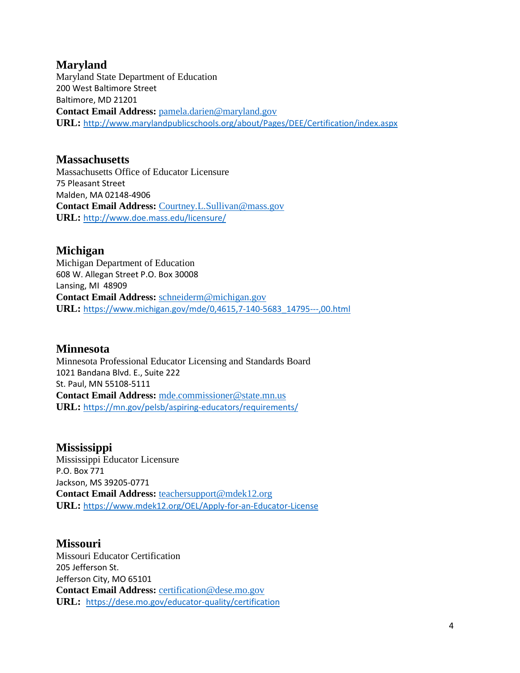### **Maryland**

Maryland State Department of Education 200 West Baltimore Street Baltimore, MD 21201 **Contact Email Address:** [pamela.darien@maryland.gov](mailto:pamela.darien@maryland.gov) **URL:** <http://www.marylandpublicschools.org/about/Pages/DEE/Certification/index.aspx>

#### **Massachusetts**

Massachusetts Office of Educator Licensure 75 Pleasant Street Malden, MA 02148-4906 **Contact Email Address:** [Courtney.L.Sullivan@mass.gov](mailto:Courtney.L.Sullivan@mass.gov) **URL:** <http://www.doe.mass.edu/licensure/>

### **Michigan**

Michigan Department of Education 608 W. Allegan Street P.O. Box 30008 Lansing, MI 48909 **Contact Email Address:** [schneiderm@michigan.gov](mailto:schneiderm@michigan.gov) **URL:** [https://www.michigan.gov/mde/0,4615,7-140-5683\\_14795---,00.html](https://www.michigan.gov/mde/0,4615,7-140-5683_14795---,00.html)

### **Minnesota**

Minnesota Professional Educator Licensing and Standards Board 1021 Bandana Blvd. E., Suite 222 St. Paul, MN 55108-5111 **Contact Email Address:** [mde.commissioner@state.mn.us](mailto:mde.commissioner@state.mn.us) **URL:** <https://mn.gov/pelsb/aspiring-educators/requirements/>

#### **Mississippi**

Mississippi Educator Licensure P.O. Box 771 Jackson, MS 39205-0771 **Contact Email Address:** [teachersupport@mdek12.org](mailto:teachersupport@mdek12.org) **URL:** <https://www.mdek12.org/OEL/Apply-for-an-Educator-License>

### **Missouri**

Missouri Educator Certification 205 Jefferson St. Jefferson City, MO 65101 **Contact Email Address:** [certification@dese.mo.gov](mailto:certification@dese.mo.gov) **URL:** <https://dese.mo.gov/educator-quality/certification>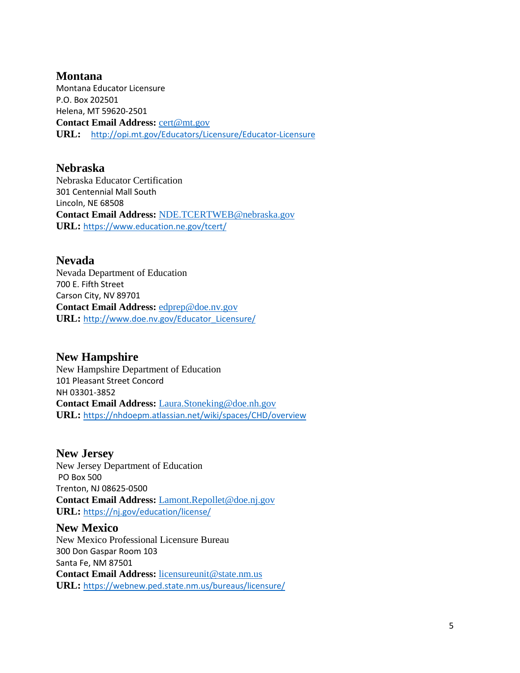**Montana** Montana Educator Licensure P.O. Box 202501 Helena, MT 59620-2501 **Contact Email Address:** [cert@mt.gov](mailto:cert@mt.gov) **URL:** <http://opi.mt.gov/Educators/Licensure/Educator-Licensure>

**Nebraska** Nebraska Educator Certification 301 Centennial Mall South Lincoln, NE 68508 **Contact Email Address:** [NDE.TCERTWEB@nebraska.gov](mailto:NDE.TCERTWEB@nebraska.gov) **URL:** <https://www.education.ne.gov/tcert/>

**Nevada** Nevada Department of Education 700 E. Fifth Street Carson City, NV 89701 **Contact Email Address:** [edprep@doe.nv.gov](mailto:edprep@doe.nv.gov) **URL:** [http://www.doe.nv.gov/Educator\\_Licensure/](http://www.doe.nv.gov/Educator_Licensure/)

**New Hampshire** New Hampshire Department of Education 101 Pleasant Street Concord NH 03301-3852 **Contact Email Address:** [Laura.Stoneking@doe.nh.gov](mailto:Laura.Stoneking@doe.nh.gov) **URL:** <https://nhdoepm.atlassian.net/wiki/spaces/CHD/overview>

**New Jersey** New Jersey Department of Education PO Box 500 Trenton, NJ 08625-0500 **Contact Email Address:** [Lamont.Repollet@doe.nj.gov](mailto:Lamont.Repollet@doe.nj.gov) **URL:** <https://nj.gov/education/license/>

**New Mexico** New Mexico Professional Licensure Bureau 300 Don Gaspar Room 103 Santa Fe, NM 87501 **Contact Email Address:** [licensureunit@state.nm.us](mailto:licensureunit@state.nm.us) **URL:** <https://webnew.ped.state.nm.us/bureaus/licensure/>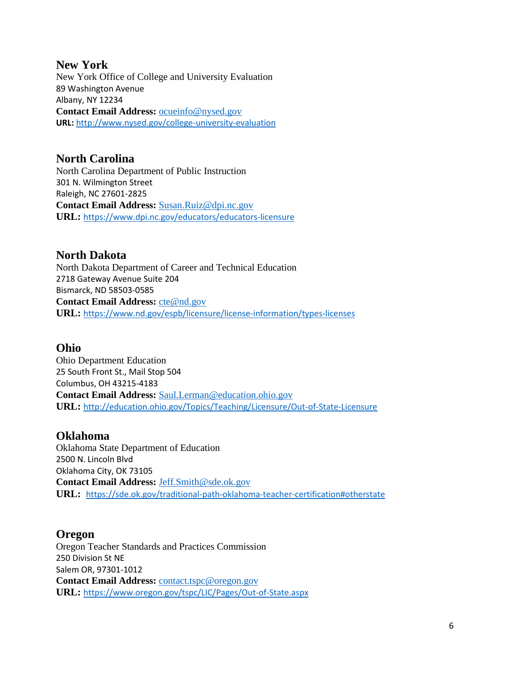#### **New York** New York Office of College and University Evaluation 89 Washington Avenue Albany, NY 12234 **Contact Email Address:** [ocueinfo@nysed.gov](mailto:ocueinfo@nysed.gov) **URL:** <http://www.nysed.gov/college-university-evaluation>

#### **North Carolina** North Carolina Department of Public Instruction 301 N. Wilmington Street Raleigh, NC 27601-2825 **Contact Email Address:** [Susan.Ruiz@dpi.nc.gov](mailto:Susan.Ruiz@dpi.nc.gov) **URL:** <https://www.dpi.nc.gov/educators/educators-licensure>

## **North Dakota**

North Dakota Department of Career and Technical Education 2718 Gateway Avenue Suite 204 Bismarck, ND 58503-0585 **Contact Email Address:** [cte@nd.gov](mailto:cte@nd.gov) **URL:** <https://www.nd.gov/espb/licensure/license-information/types-licenses>

## **Ohio**

Ohio Department Education 25 South Front St., Mail Stop 504 Columbus, OH 43215-4183 **Contact Email Address:** [Saul.Lerman@education.ohio.gov](mailto:Saul.Lerman@education.ohio.gov) **URL:** <http://education.ohio.gov/Topics/Teaching/Licensure/Out-of-State-Licensure>

### **Oklahoma**

Oklahoma State Department of Education 2500 N. Lincoln Blvd Oklahoma City, OK 73105 **Contact Email Address:** [Jeff.Smith@sde.ok.gov](mailto:Jeff.Smith@sde.ok.gov) **URL:** <https://sde.ok.gov/traditional-path-oklahoma-teacher-certification#otherstate>

## **Oregon**

Oregon Teacher Standards and Practices Commission 250 Division St NE Salem OR, 97301-1012 **Contact Email Address:** [contact.tspc@oregon.gov](mailto:contact.tspc@oregon.gov) **URL:** <https://www.oregon.gov/tspc/LIC/Pages/Out-of-State.aspx>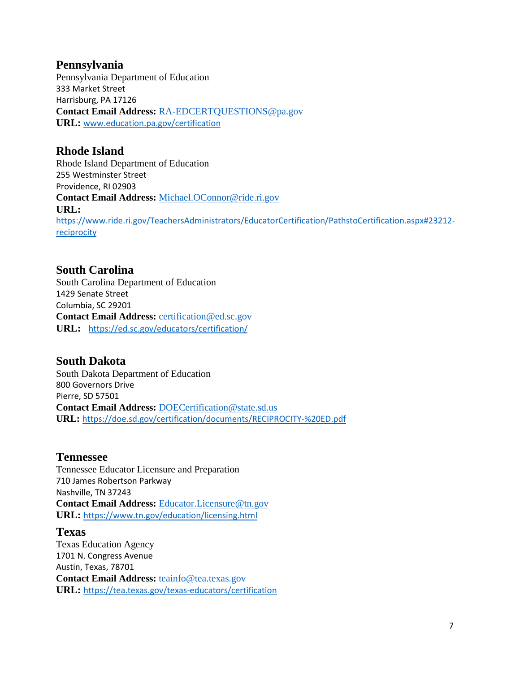### **Pennsylvania**

Pennsylvania Department of Education 333 Market Street Harrisburg, PA 17126 **Contact Email Address:** [RA-EDCERTQUESTIONS@pa.gov](mailto:RA-EDCERTQUESTIONS@pa.gov) **URL:** [www.education.pa.gov/certification](http://www.education.pa.gov/certification)

## **Rhode Island**

Rhode Island Department of Education 255 Westminster Street Providence, RI 02903 **Contact Email Address:** [Michael.OConnor@ride.ri.gov](mailto:Michael.OConnor@ride.ri.gov) **URL:** [https://www.ride.ri.gov/TeachersAdministrators/EducatorCertification/PathstoCertification.aspx#23212](https://www.ride.ri.gov/TeachersAdministrators/EducatorCertification/PathstoCertification.aspx#23212-reciprocity) **[reciprocity](https://www.ride.ri.gov/TeachersAdministrators/EducatorCertification/PathstoCertification.aspx#23212-reciprocity)** 

## **South Carolina**

South Carolina Department of Education 1429 Senate Street Columbia, SC 29201 Contact Email Address: [certification@ed.sc.gov](mailto:certification@ed.sc.gov) **URL:** <https://ed.sc.gov/educators/certification/>

#### **South Dakota** South Dakota Department of Education 800 Governors Drive Pierre, SD 57501 **Contact Email Address:** [DOECertification@state.sd.us](mailto:DOECertification@state.sd.us) **URL:** <https://doe.sd.gov/certification/documents/RECIPROCITY-%20ED.pdf>

### **Tennessee**

Tennessee Educator Licensure and Preparation 710 James Robertson Parkway Nashville, TN 37243 **Contact Email Address:** [Educator.Licensure@tn.gov](mailto:Educator.Licensure@tn.gov) **URL:** <https://www.tn.gov/education/licensing.html>

#### **Texas**

Texas Education Agency 1701 N. Congress Avenue Austin, Texas, 78701 **Contact Email Address:** [teainfo@tea.texas.gov](mailto:teainfo@tea.texas.gov) **URL:** <https://tea.texas.gov/texas-educators/certification>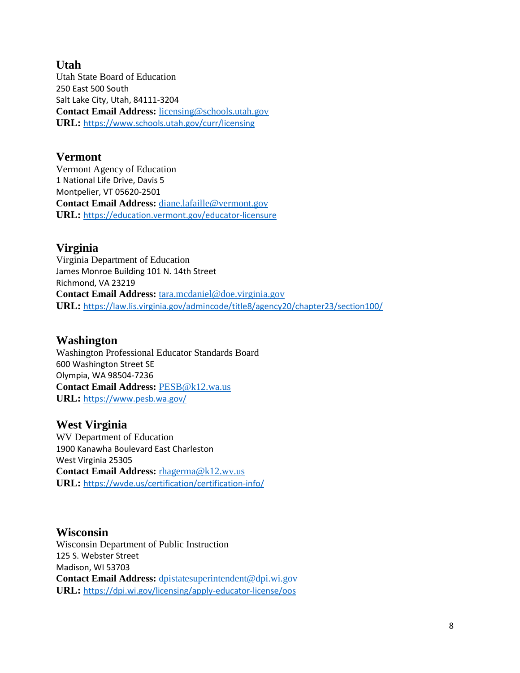## **Utah**

Utah State Board of Education 250 East 500 South Salt Lake City, Utah, 84111-3204 **Contact Email Address:** [licensing@schools.utah.gov](mailto:licensing@schools.utah.gov) **URL:** <https://www.schools.utah.gov/curr/licensing>

#### **Vermont**

Vermont Agency of Education 1 National Life Drive, Davis 5 Montpelier, VT 05620-2501 **Contact Email Address:** [diane.lafaille@vermont.gov](mailto:diane.lafaille@vermont.gov) **URL:** <https://education.vermont.gov/educator-licensure>

### **Virginia**

Virginia Department of Education James Monroe Building 101 N. 14th Street Richmond, VA 23219 **Contact Email Address:** [tara.mcdaniel@doe.virginia.gov](mailto:tara.mcdaniel@doe.virginia.gov) **URL:** <https://law.lis.virginia.gov/admincode/title8/agency20/chapter23/section100/>

### **Washington**

Washington Professional Educator Standards Board 600 Washington Street SE Olympia, WA 98504-7236 **Contact Email Address:** [PESB@k12.wa.us](mailto:PESB@k12.wa.us) **URL:** <https://www.pesb.wa.gov/>

### **West Virginia**

WV Department of Education 1900 Kanawha Boulevard East Charleston West Virginia 25305 **Contact Email Address:** [rhagerma@k12.wv.us](mailto:rhagerma@k12.wv.us) **URL:** <https://wvde.us/certification/certification-info/>

## **Wisconsin**

Wisconsin Department of Public Instruction 125 S. Webster Street Madison, WI 53703 **Contact Email Address:** [dpistatesuperintendent@dpi.wi.gov](mailto:dpistatesuperintendent@dpi.wi.gov) **URL:** <https://dpi.wi.gov/licensing/apply-educator-license/oos>